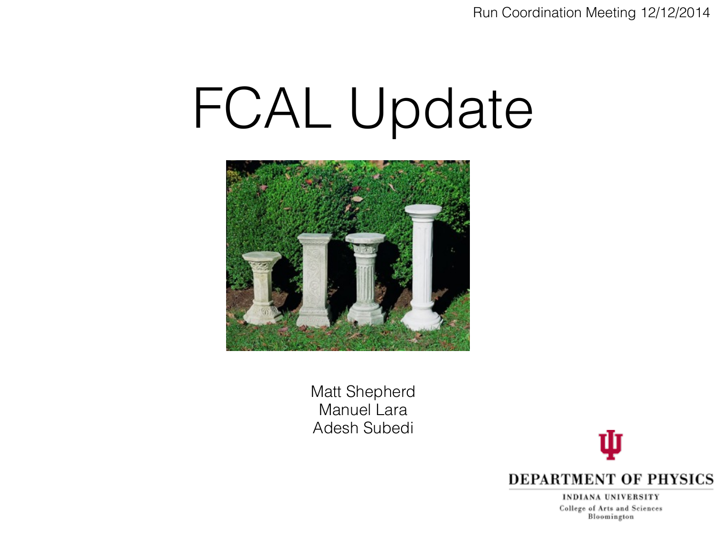Run Coordination Meeting 12/12/2014

## FCAL Update



Matt Shepherd Manuel Lara Adesh Subedi



INDIANA UNIVERSITY College of Arts and Sciences Bloomington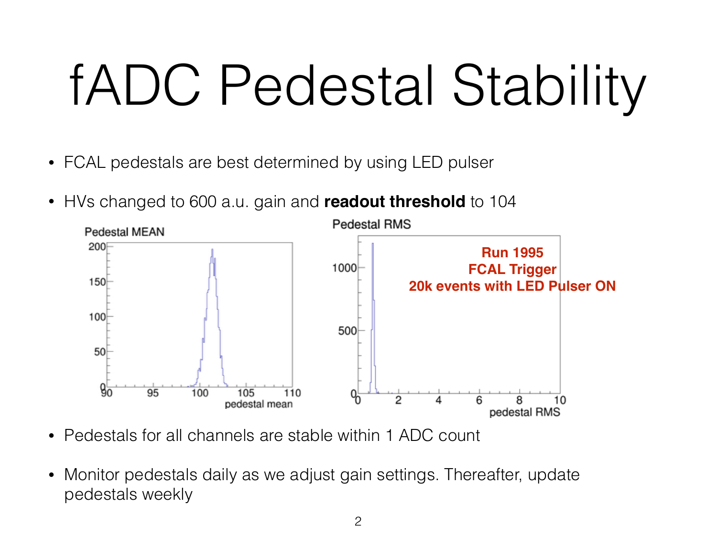# fADC Pedestal Stability

- FCAL pedestals are best determined by using LED pulser
- HVs changed to 600 a.u. gain and **readout threshold** to 104



- Pedestals for all channels are stable within 1 ADC count
- Monitor pedestals daily as we adjust gain settings. Thereafter, update pedestals weekly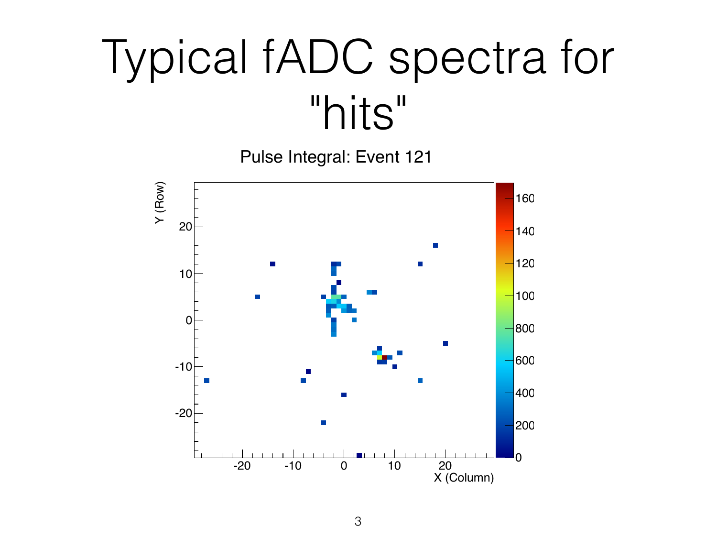### Typical fADC spectra for "hits"

Pulse Integral: Event 121

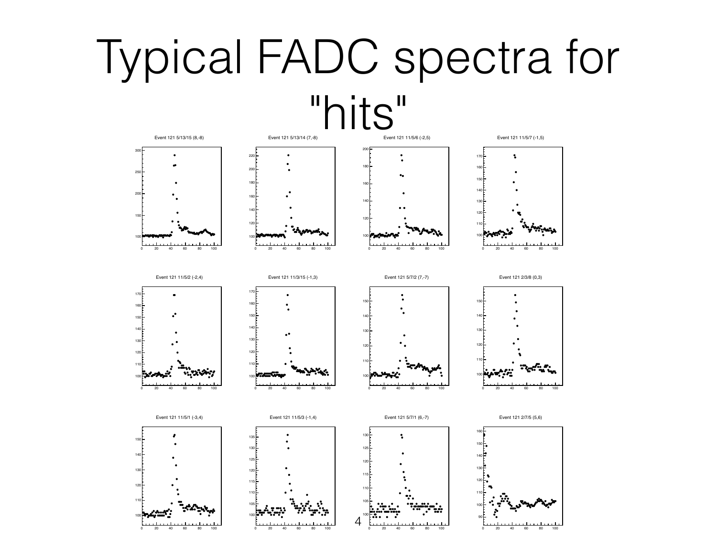#### Typical FADC spectra for



20 40 60 80 100

20 40 60 80 100

20 40 60 80 100

20 40 60 80 100